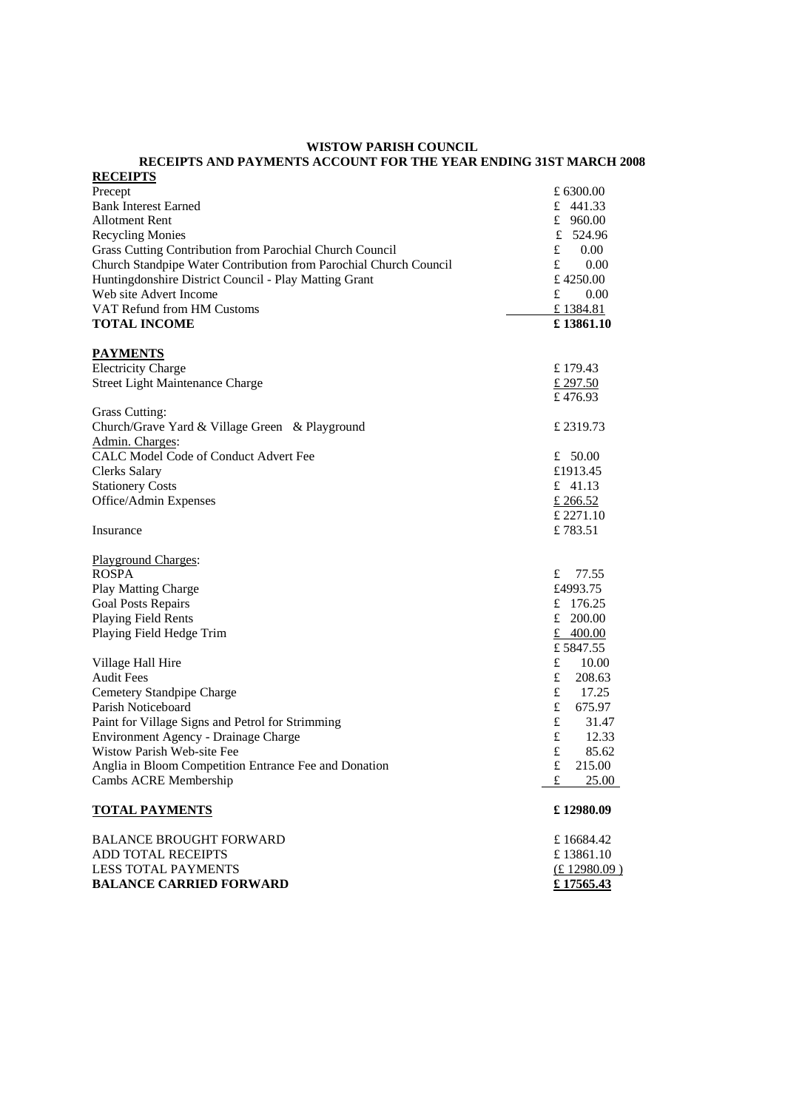#### **WISTOW PARISH COUNCIL RECEIPTS AND PAYMENTS ACCOUNT FOR THE YEAR ENDING 31ST MARCH 2008**

| <b>RECEIPTS</b>                                                   |                       |
|-------------------------------------------------------------------|-----------------------|
| Precept                                                           | £ 6300.00             |
| <b>Bank Interest Earned</b>                                       | £ 441.33              |
| <b>Allotment Rent</b>                                             | £ $960.00$            |
| <b>Recycling Monies</b>                                           | $\mathbf f$<br>524.96 |
| Grass Cutting Contribution from Parochial Church Council          | £<br>0.00             |
| Church Standpipe Water Contribution from Parochial Church Council | £<br>0.00             |
| Huntingdonshire District Council - Play Matting Grant             | £4250.00              |
| Web site Advert Income                                            | £<br>0.00             |
| VAT Refund from HM Customs                                        | £1384.81              |
| <b>TOTAL INCOME</b>                                               | £13861.10             |
| <b>PAYMENTS</b>                                                   |                       |
| <b>Electricity Charge</b>                                         | £179.43               |
| Street Light Maintenance Charge                                   | £ 297.50              |
|                                                                   | £476.93               |
| <b>Grass Cutting:</b>                                             |                       |
| Church/Grave Yard & Village Green & Playground                    | £2319.73              |
| Admin. Charges:                                                   |                       |
| CALC Model Code of Conduct Advert Fee                             | £ $50.00$             |
| <b>Clerks Salary</b>                                              | £1913.45              |
| <b>Stationery Costs</b>                                           | £ $41.13$             |
| Office/Admin Expenses                                             | £ 266.52              |
|                                                                   | £ 2271.10             |
| Insurance                                                         | £783.51               |
| <b>Playground Charges:</b>                                        |                       |
| <b>ROSPA</b>                                                      | £ $77.55$             |
| Play Matting Charge                                               | £4993.75              |
| <b>Goal Posts Repairs</b>                                         | £ 176.25              |
| Playing Field Rents                                               | £ $200.00$            |
| Playing Field Hedge Trim                                          | £ $400.00$            |
|                                                                   | £5847.55              |
| Village Hall Hire                                                 | £<br>10.00            |
| <b>Audit Fees</b>                                                 | £<br>208.63           |
| Cemetery Standpipe Charge                                         | $\pounds$<br>17.25    |
| Parish Noticeboard                                                | £<br>675.97           |
| Paint for Village Signs and Petrol for Strimming                  | £<br>31.47            |
| <b>Environment Agency - Drainage Charge</b>                       | £<br>12.33            |
| Wistow Parish Web-site Fee                                        | £<br>85.62            |
| Anglia in Bloom Competition Entrance Fee and Donation             | £<br>215.00           |
| Cambs ACRE Membership                                             | £<br>25.00            |
| <b>TOTAL PAYMENTS</b>                                             | £12980.09             |
| <b>BALANCE BROUGHT FORWARD</b>                                    | £16684.42             |
| ADD TOTAL RECEIPTS                                                | £13861.10             |
| <b>LESS TOTAL PAYMENTS</b>                                        | (E12980.09)           |
| <b>BALANCE CARRIED FORWARD</b>                                    | £17565.43             |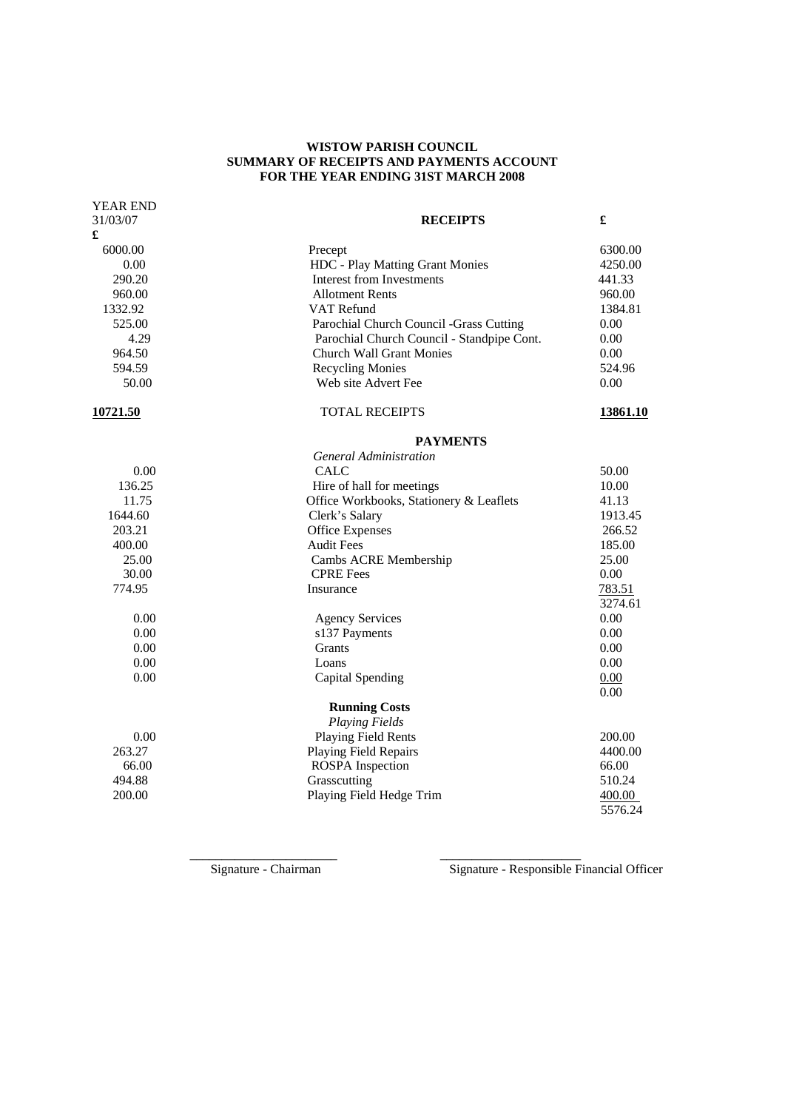## **WISTOW PARISH COUNCIL SUMMARY OF RECEIPTS AND PAYMENTS ACCOUNT FOR THE YEAR ENDING 31ST MARCH 2008**

| <b>YEAR END</b> |                                            |          |  |
|-----------------|--------------------------------------------|----------|--|
| 31/03/07        | £<br><b>RECEIPTS</b>                       |          |  |
| £               |                                            |          |  |
| 6000.00         | Precept                                    | 6300.00  |  |
| 0.00            | HDC - Play Matting Grant Monies            | 4250.00  |  |
| 290.20          | <b>Interest from Investments</b>           | 441.33   |  |
| 960.00          | <b>Allotment Rents</b>                     | 960.00   |  |
| 1332.92         | VAT Refund                                 | 1384.81  |  |
| 525.00          | Parochial Church Council -Grass Cutting    | 0.00     |  |
| 4.29            | Parochial Church Council - Standpipe Cont. | 0.00     |  |
| 964.50          | <b>Church Wall Grant Monies</b>            | 0.00     |  |
| 594.59          | <b>Recycling Monies</b>                    | 524.96   |  |
| 50.00           | Web site Advert Fee                        | 0.00     |  |
| 10721.50        | <b>TOTAL RECEIPTS</b>                      | 13861.10 |  |
|                 | <b>PAYMENTS</b>                            |          |  |
|                 | General Administration                     |          |  |
| 0.00            | <b>CALC</b>                                | 50.00    |  |
| 136.25          | Hire of hall for meetings                  | 10.00    |  |
| 11.75           | Office Workbooks, Stationery & Leaflets    | 41.13    |  |
| 1644.60         | Clerk's Salary<br>1913.45                  |          |  |
| 203.21          | <b>Office Expenses</b><br>266.52           |          |  |
| 400.00          | <b>Audit Fees</b>                          | 185.00   |  |
| 25.00           | 25.00<br>Cambs ACRE Membership             |          |  |
| 30.00           | <b>CPRE</b> Fees                           | 0.00     |  |
| 774.95          | Insurance                                  | 783.51   |  |
|                 |                                            | 3274.61  |  |
| 0.00            | <b>Agency Services</b>                     | 0.00     |  |
| 0.00            | s137 Payments                              | 0.00     |  |
| 0.00            | Grants                                     | 0.00     |  |
| 0.00            | Loans                                      | 0.00     |  |
| 0.00            | Capital Spending                           | 0.00     |  |
|                 |                                            | 0.00     |  |
|                 | <b>Running Costs</b>                       |          |  |
|                 | <b>Playing Fields</b>                      |          |  |
| 0.00            | Playing Field Rents                        | 200.00   |  |
| 263.27          | Playing Field Repairs                      | 4400.00  |  |
| 66.00           | <b>ROSPA</b> Inspection                    | 66.00    |  |
| 494.88          | Grasscutting                               | 510.24   |  |
| 200.00          | Playing Field Hedge Trim                   | 400.00   |  |
|                 |                                            | 5576.24  |  |

 $\frac{1}{2}$  ,  $\frac{1}{2}$  ,  $\frac{1}{2}$  ,  $\frac{1}{2}$  ,  $\frac{1}{2}$  ,  $\frac{1}{2}$  ,  $\frac{1}{2}$  ,  $\frac{1}{2}$  ,  $\frac{1}{2}$  ,  $\frac{1}{2}$  ,  $\frac{1}{2}$  ,  $\frac{1}{2}$  ,  $\frac{1}{2}$  ,  $\frac{1}{2}$  ,  $\frac{1}{2}$  ,  $\frac{1}{2}$  ,  $\frac{1}{2}$  ,  $\frac{1}{2}$  ,  $\frac{1$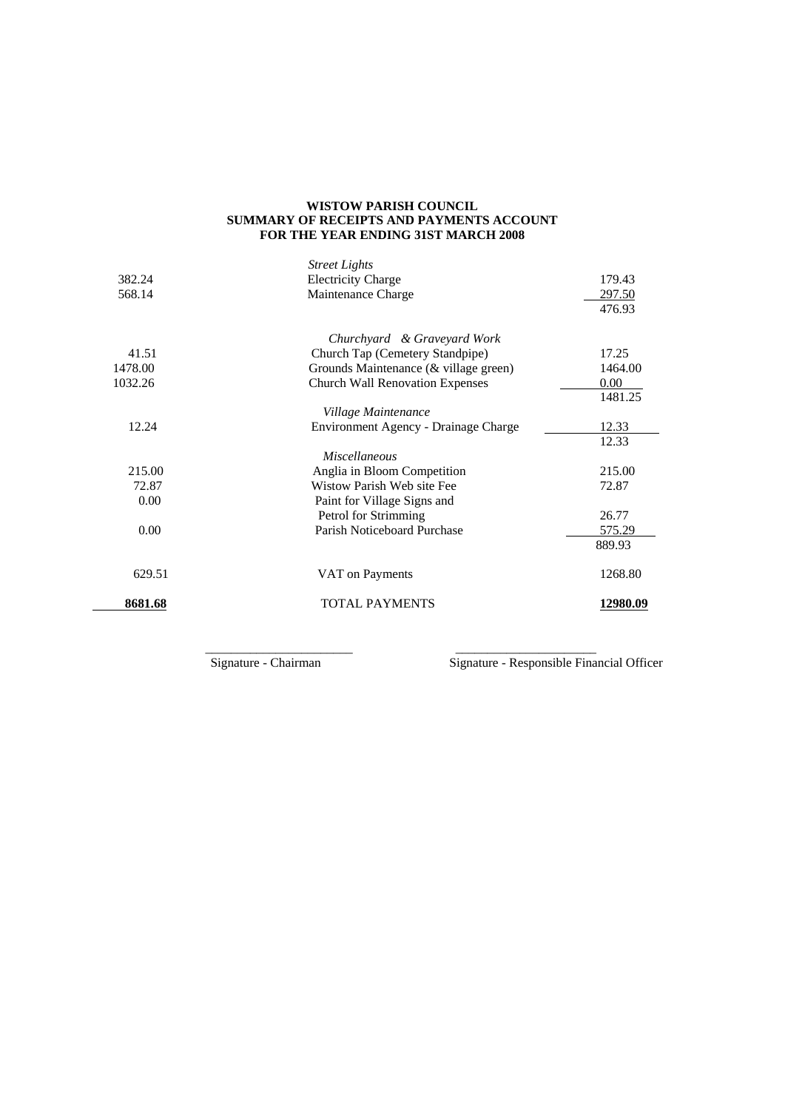## **WISTOW PARISH COUNCIL SUMMARY OF RECEIPTS AND PAYMENTS ACCOUNT FOR THE YEAR ENDING 31ST MARCH 2008**

|         | <b>Street Lights</b>                   |          |
|---------|----------------------------------------|----------|
| 382.24  | <b>Electricity Charge</b>              | 179.43   |
| 568.14  | Maintenance Charge                     | 297.50   |
|         |                                        | 476.93   |
|         | Churchyard & Graveyard Work            |          |
| 41.51   | Church Tap (Cemetery Standpipe)        | 17.25    |
| 1478.00 | Grounds Maintenance (& village green)  | 1464.00  |
| 1032.26 | <b>Church Wall Renovation Expenses</b> | 0.00     |
|         |                                        | 1481.25  |
|         | Village Maintenance                    |          |
| 12.24   | Environment Agency - Drainage Charge   | 12.33    |
|         |                                        | 12.33    |
|         | <i>Miscellaneous</i>                   |          |
| 215.00  | Anglia in Bloom Competition            | 215.00   |
| 72.87   | Wistow Parish Web site Fee             | 72.87    |
| 0.00    | Paint for Village Signs and            |          |
|         | Petrol for Strimming                   | 26.77    |
| 0.00    | Parish Noticeboard Purchase            | 575.29   |
|         |                                        | 889.93   |
| 629.51  | VAT on Payments                        | 1268.80  |
| 8681.68 | <b>TOTAL PAYMENTS</b>                  | 12980.09 |

 $\frac{1}{\sqrt{2}}$  ,  $\frac{1}{\sqrt{2}}$  ,  $\frac{1}{\sqrt{2}}$  ,  $\frac{1}{\sqrt{2}}$  ,  $\frac{1}{\sqrt{2}}$  ,  $\frac{1}{\sqrt{2}}$  ,  $\frac{1}{\sqrt{2}}$  ,  $\frac{1}{\sqrt{2}}$  ,  $\frac{1}{\sqrt{2}}$  ,  $\frac{1}{\sqrt{2}}$  ,  $\frac{1}{\sqrt{2}}$  ,  $\frac{1}{\sqrt{2}}$  ,  $\frac{1}{\sqrt{2}}$  ,  $\frac{1}{\sqrt{2}}$  ,  $\frac{1}{\sqrt{2}}$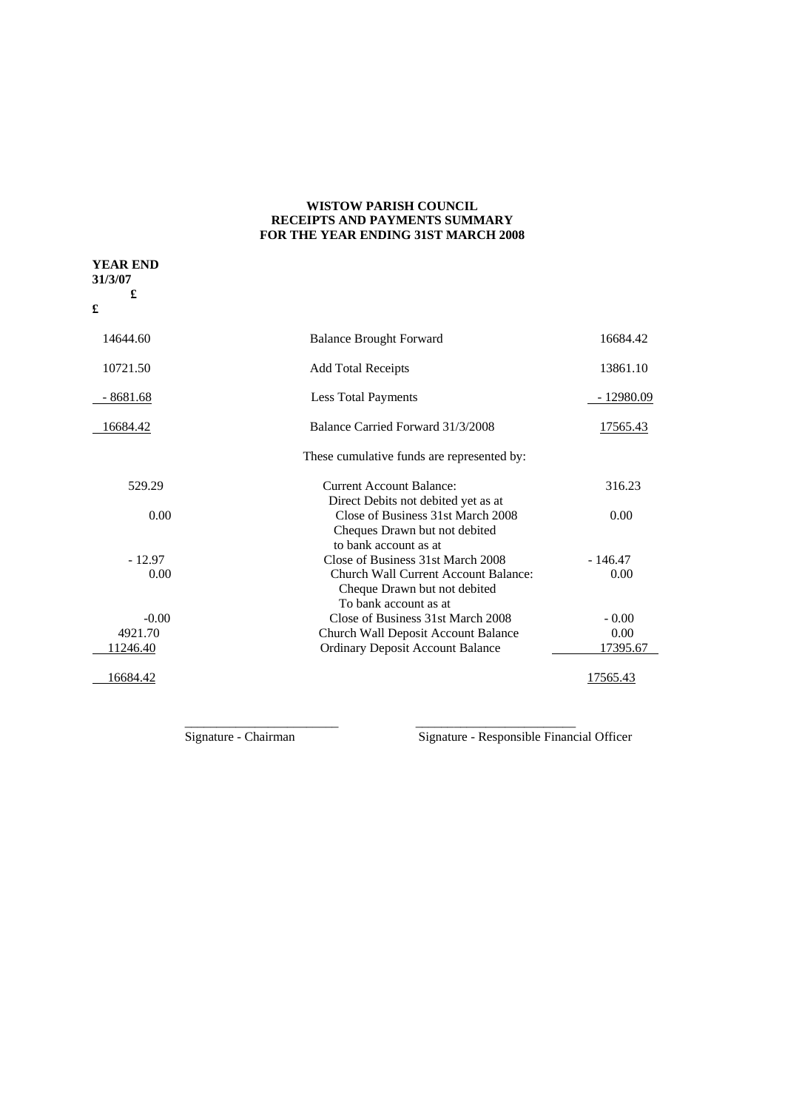## **WISTOW PARISH COUNCIL RECEIPTS AND PAYMENTS SUMMARY FOR THE YEAR ENDING 31ST MARCH 2008**

| <b>YEAR END</b><br>31/3/07<br>£<br>£ |                                                                                               |             |
|--------------------------------------|-----------------------------------------------------------------------------------------------|-------------|
| 14644.60                             | <b>Balance Brought Forward</b>                                                                | 16684.42    |
| 10721.50                             | <b>Add Total Receipts</b>                                                                     | 13861.10    |
| - 8681.68                            | Less Total Payments                                                                           | $-12980.09$ |
| 16684.42                             | Balance Carried Forward 31/3/2008                                                             | 17565.43    |
|                                      | These cumulative funds are represented by:                                                    |             |
| 529.29                               | <b>Current Account Balance:</b><br>Direct Debits not debited yet as at                        | 316.23      |
| 0.00                                 | Close of Business 31st March 2008<br>Cheques Drawn but not debited<br>to bank account as at   | 0.00        |
| $-12.97$                             | Close of Business 31st March 2008                                                             | $-146.47$   |
| 0.00                                 | Church Wall Current Account Balance:<br>Cheque Drawn but not debited<br>To bank account as at | 0.00        |
| $-0.00$                              | Close of Business 31st March 2008                                                             | $-0.00$     |
| 4921.70                              | Church Wall Deposit Account Balance                                                           | 0.00        |
| 11246.40                             | <b>Ordinary Deposit Account Balance</b>                                                       | 17395.67    |
| 16684.42                             |                                                                                               | 17565.43    |

 $\frac{1}{\sqrt{2}}$  ,  $\frac{1}{\sqrt{2}}$  ,  $\frac{1}{\sqrt{2}}$  ,  $\frac{1}{\sqrt{2}}$  ,  $\frac{1}{\sqrt{2}}$  ,  $\frac{1}{\sqrt{2}}$  ,  $\frac{1}{\sqrt{2}}$  ,  $\frac{1}{\sqrt{2}}$  ,  $\frac{1}{\sqrt{2}}$  ,  $\frac{1}{\sqrt{2}}$  ,  $\frac{1}{\sqrt{2}}$  ,  $\frac{1}{\sqrt{2}}$  ,  $\frac{1}{\sqrt{2}}$  ,  $\frac{1}{\sqrt{2}}$  ,  $\frac{1}{\sqrt{2}}$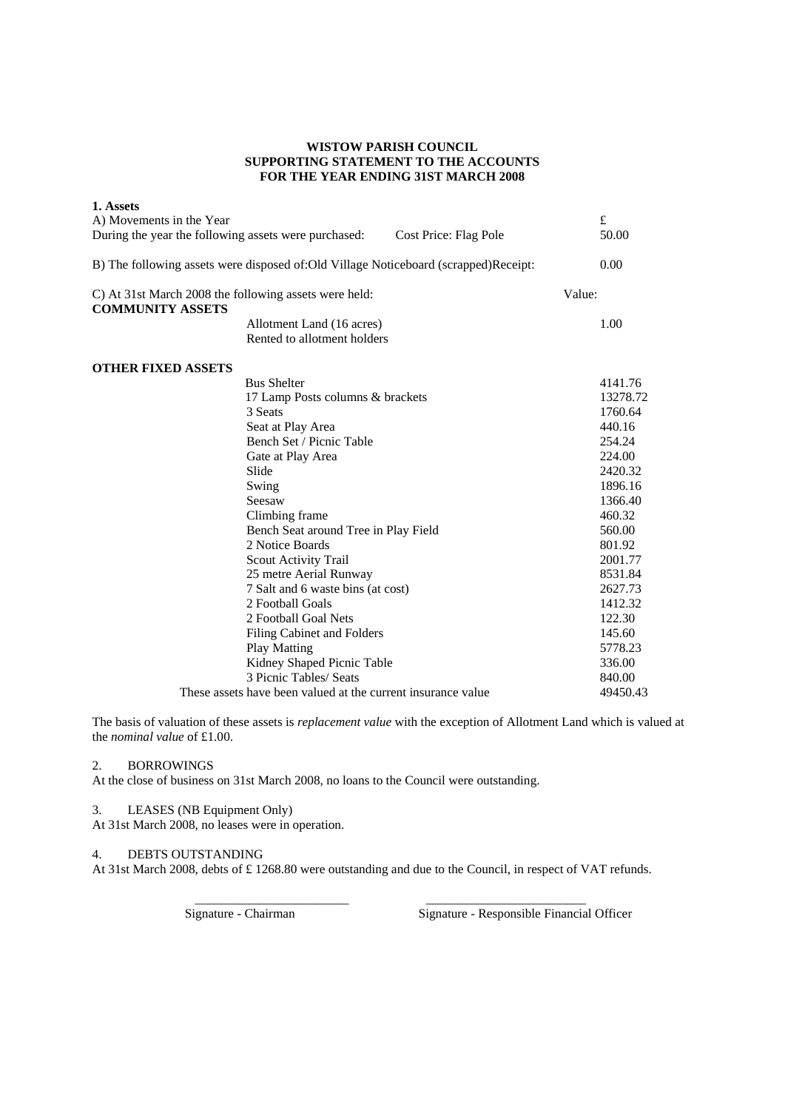## **WISTOW PARISH COUNCIL SUPPORTING STATEMENT TO THE ACCOUNTS FOR THE YEAR ENDING 31ST MARCH 2008**

| 1. Assets<br>A) Movements in the Year                                            |                                                              |                                                                                     |        | £        |
|----------------------------------------------------------------------------------|--------------------------------------------------------------|-------------------------------------------------------------------------------------|--------|----------|
| During the year the following assets were purchased:                             |                                                              | Cost Price: Flag Pole                                                               |        | 50.00    |
|                                                                                  |                                                              | B) The following assets were disposed of:Old Village Noticeboard (scrapped)Receipt: |        | 0.00     |
| C) At 31st March 2008 the following assets were held:<br><b>COMMUNITY ASSETS</b> |                                                              |                                                                                     | Value: |          |
|                                                                                  | Allotment Land (16 acres)<br>Rented to allotment holders     |                                                                                     |        | 1.00     |
| <b>OTHER FIXED ASSETS</b>                                                        |                                                              |                                                                                     |        |          |
|                                                                                  | <b>Bus Shelter</b>                                           |                                                                                     |        | 4141.76  |
|                                                                                  | 17 Lamp Posts columns & brackets                             |                                                                                     |        | 13278.72 |
|                                                                                  | 3 Seats                                                      |                                                                                     |        | 1760.64  |
|                                                                                  | Seat at Play Area                                            |                                                                                     |        | 440.16   |
|                                                                                  | Bench Set / Picnic Table                                     |                                                                                     |        | 254.24   |
|                                                                                  | Gate at Play Area                                            |                                                                                     |        | 224.00   |
|                                                                                  | Slide                                                        |                                                                                     |        | 2420.32  |
|                                                                                  | Swing                                                        |                                                                                     |        | 1896.16  |
|                                                                                  | Seesaw                                                       |                                                                                     |        | 1366.40  |
|                                                                                  | Climbing frame                                               |                                                                                     |        | 460.32   |
|                                                                                  | Bench Seat around Tree in Play Field                         |                                                                                     |        | 560.00   |
|                                                                                  | 2 Notice Boards                                              |                                                                                     |        | 801.92   |
|                                                                                  | <b>Scout Activity Trail</b>                                  |                                                                                     |        | 2001.77  |
|                                                                                  | 25 metre Aerial Runway                                       |                                                                                     |        | 8531.84  |
|                                                                                  | 7 Salt and 6 waste bins (at cost)                            |                                                                                     |        | 2627.73  |
|                                                                                  | 2 Football Goals                                             |                                                                                     |        | 1412.32  |
|                                                                                  | 2 Football Goal Nets                                         |                                                                                     |        | 122.30   |
|                                                                                  | Filing Cabinet and Folders                                   |                                                                                     |        | 145.60   |
|                                                                                  | <b>Play Matting</b>                                          |                                                                                     |        | 5778.23  |
|                                                                                  | Kidney Shaped Picnic Table                                   |                                                                                     |        | 336.00   |
|                                                                                  | 3 Picnic Tables/ Seats                                       |                                                                                     |        | 840.00   |
|                                                                                  | These assets have been valued at the current insurance value |                                                                                     |        | 49450.43 |

The basis of valuation of these assets is *replacement value* with the exception of Allotment Land which is valued at the *nominal value* of £1.00.

## 2. BORROWINGS

At the close of business on 31st March 2008, no loans to the Council were outstanding.

# 3. LEASES (NB Equipment Only)

At 31st March 2008, no leases were in operation.

### 4. DEBTS OUTSTANDING

At 31st March 2008, debts of £ 1268.80 were outstanding and due to the Council, in respect of VAT refunds.

 $\frac{1}{2}$  , and the set of the set of the set of the set of the set of the set of the set of the set of the set of the set of the set of the set of the set of the set of the set of the set of the set of the set of the set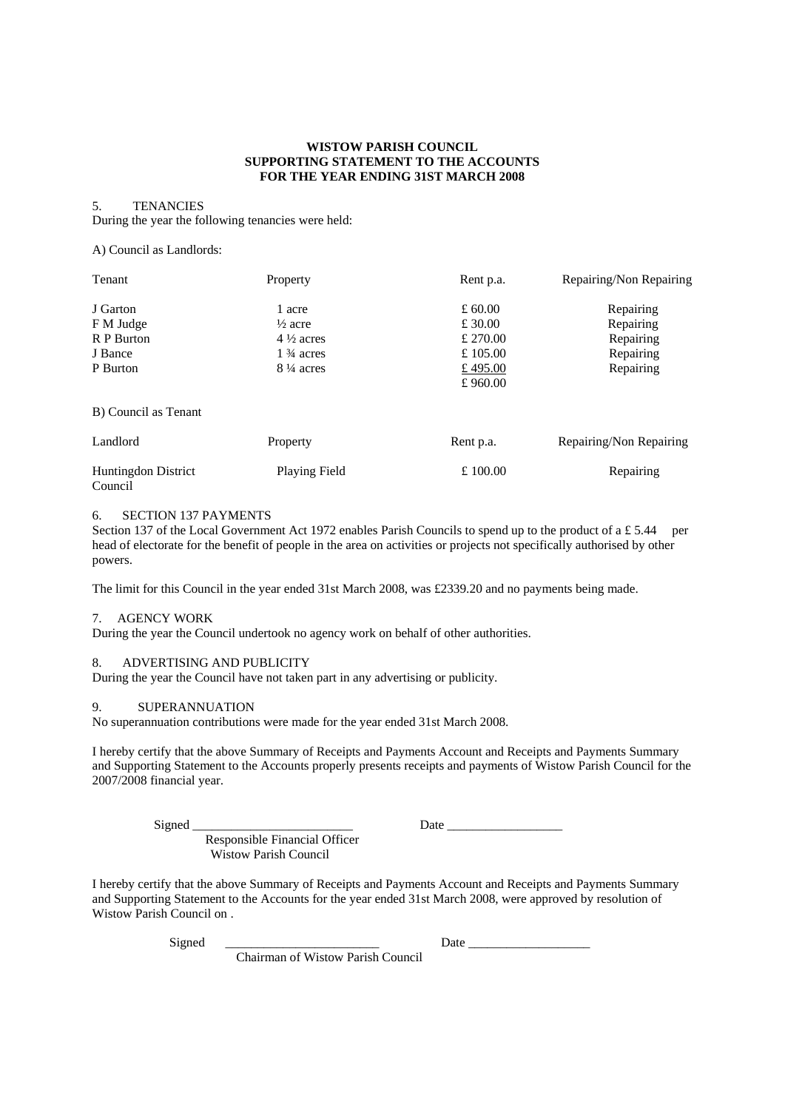### **WISTOW PARISH COUNCIL SUPPORTING STATEMENT TO THE ACCOUNTS FOR THE YEAR ENDING 31ST MARCH 2008**

#### 5. TENANCIES

During the year the following tenancies were held:

A) Council as Landlords:

| Tenant                                | Property             | Rent p.a. | Repairing/Non Repairing |
|---------------------------------------|----------------------|-----------|-------------------------|
| J Garton                              | 1 acre               | £ 60.00   | Repairing               |
| F M Judge                             | $\frac{1}{2}$ acre   | £ 30.00   | Repairing               |
| R P Burton                            | $4\frac{1}{2}$ acres | £ 270.00  | Repairing               |
| J Bance                               | $1\frac{3}{4}$ acres | £ 105.00  | Repairing               |
| P Burton                              | $8\frac{1}{4}$ acres | £495.00   | Repairing               |
|                                       |                      | £960.00   |                         |
| B) Council as Tenant                  |                      |           |                         |
| Landlord                              | Property             | Rent p.a. | Repairing/Non Repairing |
| <b>Huntingdon District</b><br>Council | Playing Field        | £100.00   | Repairing               |

## 6. SECTION 137 PAYMENTS

Section 137 of the Local Government Act 1972 enables Parish Councils to spend up to the product of a £ 5.44 per head of electorate for the benefit of people in the area on activities or projects not specifically authorised by other powers.

The limit for this Council in the year ended 31st March 2008, was £2339.20 and no payments being made.

### 7. AGENCY WORK

During the year the Council undertook no agency work on behalf of other authorities.

## 8. ADVERTISING AND PUBLICITY

During the year the Council have not taken part in any advertising or publicity.

### 9. SUPERANNUATION

No superannuation contributions were made for the year ended 31st March 2008.

 Responsible Financial Officer Wistow Parish Council

I hereby certify that the above Summary of Receipts and Payments Account and Receipts and Payments Summary and Supporting Statement to the Accounts properly presents receipts and payments of Wistow Parish Council for the 2007/2008 financial year.

Signed \_\_\_\_\_\_\_\_\_\_\_\_\_\_\_\_\_\_\_\_\_\_\_\_\_ Date \_\_\_\_\_\_\_\_\_\_\_\_\_\_\_\_\_\_

I hereby certify that the above Summary of Receipts and Payments Account and Receipts and Payments Summary and Supporting Statement to the Accounts for the year ended 31st March 2008, were approved by resolution of Wistow Parish Council on .

Chairman of Wistow Parish Council

 $Signed$   $\qquad \qquad$  Date  $\qquad \qquad$